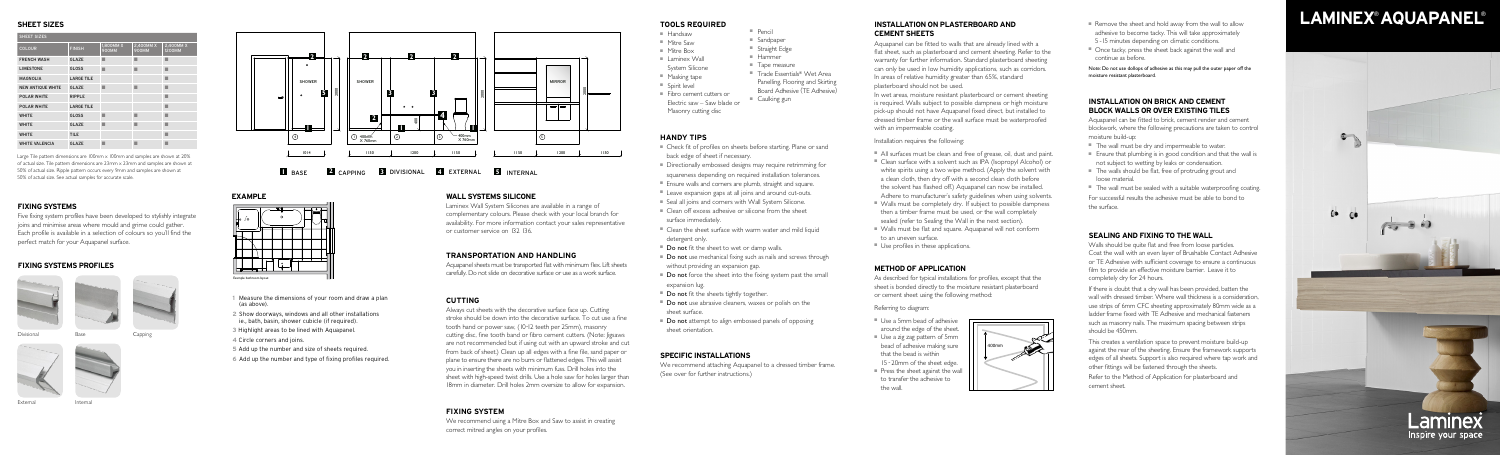



# Laminex Inspire your space

### **SHEET SIZES**

Large Tile pattern dimensions are 100mm x 100mm and samples are shown at 20% of actual size. Tile pattern dimensions are 23mm x 23mm and samples are shown at 50% of actual size. Ripple pattern occurs every 9mm and samples are shown at 50% of actual size. See actual samples for accurate scale.

| SHEET SIZES              |                   |                           |                           |                            |  |  |
|--------------------------|-------------------|---------------------------|---------------------------|----------------------------|--|--|
| <b>COLOUR</b>            | <b>FINISH</b>     | 1,800MM X<br><b>900MM</b> | 2,400MM X<br><b>900MM</b> | 2,400MM X<br><b>1200MM</b> |  |  |
| <b>FRENCH WASH</b>       | <b>GLAZE</b>      | ■                         |                           | ٠                          |  |  |
| <b>LIMESTONE</b>         | <b>GLOSS</b>      | п                         |                           | п                          |  |  |
| <b>MAGNOLIA</b>          | <b>LARGE TILE</b> |                           |                           | ■                          |  |  |
| <b>NEW ANTIQUE WHITE</b> | <b>GLAZE</b>      | ■                         | ■                         | ■                          |  |  |
| <b>POLAR WHITE</b>       | <b>RIPPLE</b>     |                           |                           | ■                          |  |  |
| POLAR WHITE              | <b>LARGE TILE</b> |                           |                           | ■                          |  |  |
| <b>WHITE</b>             | <b>GLOSS</b>      | ■                         | ■                         | ■                          |  |  |
| <b>WHITE</b>             | <b>GLAZE</b>      | ■                         | ■                         | ■                          |  |  |
| <b>WHITE</b>             | <b>TILE</b>       |                           |                           | п                          |  |  |
| <b>WHITE VALENCIA</b>    | <b>GLAZE</b>      |                           |                           |                            |  |  |

### **FIXING SYSTEMS**

Five fixing system profiles have been developed to stylishly integrate joins and minimise areas where mould and grime could gather. Each profile is available in a selection of colours so you'll find the perfect match for your Aquapanel surface.

### **FIXING SYSTEMS PROFILES**





Divisional



Internal



External

### **WALL SYSTEMS SILICONE**

Laminex Wall System Silicones are available in a range of complementary colours. Please check with your local branch for availability. For more information contact your sales representative or customer service on 132 136.

### **TRANSPORTATION AND HANDLING**

Aquapanel sheets must be transported flat with minimum flex. Lift sheets carefully. Do not slide on decorative surface or use as a work surface.

### **CUTTING**

Always cut sheets with the decorative surface face up. Cutting stroke should be down into the decorative surface. To cut use a fine tooth hand or power saw, (10-12 teeth per 25mm), masonry cutting disc, fine tooth band or fibro cement cutters. (Note: Jigsaws are not recommended but if using cut with an upward stroke and cut from back of sheet.) Clean up all edges with a fine file, sand paper or plane to ensure there are no burrs or flattened edges. This will assist you in inserting the sheets with minimum fuss. Drill holes into the sheet with high-speed twist drills. Use a hole saw for holes larger than 18mm in diameter. Drill holes 2mm oversize to allow for expansion.

- 
- 
- 
- 
- 
- 
- Clean off excess adhesive or silicone from the sheet surface immediately.
- Clean the sheet surface with warm water and mild liquid detergent only.
- 
- 
- 
- Do not force the sheet into the fixing system past the small expansion lug.
- Do not use abrasive cleaners, waxes or polish on the sheet surface.
- 
- **Do not** attempt to align embossed panels of opposing sheet orientation.
- Use a 5mm bead of adhesive around the edge of the sheet. ■ Use a zig zag pattern of 5mm bead of adhesive making sure that the bead is within
- 15 20mm of the sheet edge. ■ Press the sheet against the wall to transfer the adhesive to the wall.

### **FIXING SYSTEM**

We recommend using a Mitre Box and Saw to assist in creating correct mitred angles on your profiles.

- Mitre Saw
- Mitre Box ■ Laminex Wall
- System Silicone
- Masking tape
- Spirit level
- Masonry cutting disc

**1** Measure the dimensions of your room and draw a plan (as above).

- **2** Show doorways, windows and all other installations ie., bath, basin, shower cubicle (if required).
- **3** Highlight areas to be lined with Aquapanel.
- **4** Circle corners and joins.
- **5** Add up the number and size of sheets required.
- **6**  Add up the number and type of fixing profiles required.



### **EXAMPLE**

### **HANDY TIPS**

- Remove the sheet and hold away from the wall to allow adhesive to become tacky. This will take approximately 5 - 15 minutes depending on climatic conditions.
- Once tacky, press the sheet back against the wall and continue as before.

- The wall must be dry and impermeable to water.
- Ensure that plumbing is in good condition and that the wall is not subject to wetting by leaks or condensation.
- The walls should be flat, free of protruding grout and loose material.
- The wall must be sealed with a suitable waterproofing coating. For successful results the adhesive must be able to bond to

# **SPECIFIC INSTALLATIONS**

We recommend attaching Aquapanel to a dressed timber frame. (See over for further instructions.)

# **METHOD OF APPLICATION**

As described for typical installations for profiles, except that the sheet is bonded directly to the moisture resistant plasterboard or cement sheet using the following method:

Referring to diagram:



- Handsaw
- Sandpaper
	- Straight Edge ■ Hammer



■ Pencil

- Tape measure
- Trade Essentials® Wet Area
- Panelling, Flooring and Skirting
- Fibro cement cutters or Board Adhesive (TE Adhesive)
- Electric saw Saw blade or ■ Caulking gun
	-

- Check fit of profiles on sheets before starting. Plane or sand back edge of sheet if necessary.
- Directionally embossed designs may require retrimming for squareness depending on required installation tolerances.
- Ensure walls and corners are plumb, straight and square.
- Leave expansion gaps at all joins and around cut-outs. ■ Seal all joins and corners with Wall System Silicone.
- **Do not** fit the sheet to wet or damp walls.
- Do not use mechanical fixing such as nails and screws through without providing an expansion gap.
- **Do not** fit the sheets tightly together.

### **TOOLS REQUIRED INSTALLATION ON PLASTERBOARD AND CEMENT SHEETS**

Aquapanel can be fitted to walls that are already lined with a flat sheet, such as plasterboard and cement sheeting. Refer to the warranty for further information. Standard plasterboard sheeting can only be used in low humidity applications, such as corridors. In areas of relative humidity greater than 65%, standard plasterboard should not be used.

In wet areas, moisture resistant plasterboard or cement sheeting is required. Walls subject to possible dampness or high moisture pick-up should not have Aquapanel fixed direct, but installed to dressed timber frame or the wall surface must be waterproofed with an impermeable coating.

Installation requires the following:

- All surfaces must be clean and free of grease, oil, dust and paint.
- Clean surface with a solvent such as IPA (Isopropyl Alcohol) or white spirits using a two wipe method. (Apply the solvent with a clean cloth, then dry off with a second clean cloth before the solvent has flashed off.) Aquapanel can now be installed. Adhere to manufacturer's safety guidelines when using solvents.
- Walls must be completely dry. If subject to possible dampness then a timber frame must be used, or the wall completely sealed (refer to Sealing the Wall in the next section).
- Walls must be flat and square. Aquapanel will not conform to an uneven surface.
- Use profiles in these applications.

Note: Do not use dollops of adhesive as this may pull the outer paper off the moisture resistant plasterboard.

### **INSTALLATION ON BRICK AND CEMENT BLOCK WALLS OR OVER EXISTING TILES**

Aquapanel can be fitted to brick, cement render and cement blockwork, where the following precautions are taken to control moisture build-up:

the surface.

# **SEALING AND FIXING TO THE WALL**

Walls should be quite flat and free from loose particles. Coat the wall with an even layer of Brushable Contact Adhesive or TE Adhesive with sufficient coverage to ensure a continuous film to provide an effective moisture barrier. Leave it to completely dry for 24 hours.

If there is doubt that a dry wall has been provided, batten the wall with dressed timber. Where wall thickness is a consideration, use strips of 6mm CFC sheeting approximately 80mm wide as a ladder frame fixed with TE Adhesive and mechanical fasteners such as masonry nails. The maximum spacing between strips should be 450mm.

This creates a ventilation space to prevent moisture build-up against the rear of the sheeting. Ensure the framework supports edges of all sheets. Support is also required where tap work and other fittings will be fastened through the sheets.

Refer to the Method of Application for plasterboard and cement sheet.